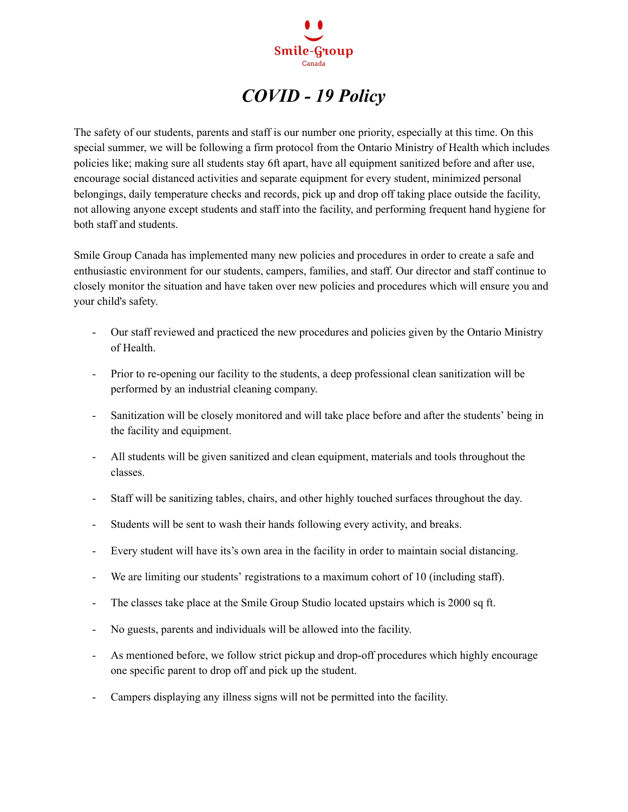

## *COVID - 19 Policy*

The safety of our students, parents and staff is our number one priority, especially at this time. On this special summer, we will be following a firm protocol from the Ontario Ministry of Health which includes policies like; making sure all students stay 6ft apart, have all equipment sanitized before and after use, encourage social distanced activities and separate equipment for every student, minimized personal belongings, daily temperature checks and records, pick up and drop off taking place outside the facility, not allowing anyone except students and staff into the facility, and performing frequent hand hygiene for both staff and students.

Smile Group Canada has implemented many new policies and procedures in order to create a safe and enthusiastic environment for our students, campers, families, and staff. Our director and staff continue to closely monitor the situation and have taken over new policies and procedures which will ensure you and your child's safety.

- Our staff reviewed and practiced the new procedures and policies given by the Ontario Ministry of Health.
- Prior to re-opening our facility to the students, a deep professional clean sanitization will be performed by an industrial cleaning company.
- Sanitization will be closely monitored and will take place before and after the students' being in the facility and equipment.
- All students will be given sanitized and clean equipment, materials and tools throughout the classes.
- Staff will be sanitizing tables, chairs, and other highly touched surfaces throughout the day.
- Students will be sent to wash their hands following every activity, and breaks.
- Every student will have its's own area in the facility in order to maintain social distancing.
- We are limiting our students' registrations to a maximum cohort of 10 (including staff).
- The classes take place at the Smile Group Studio located upstairs which is 2000 sq ft.
- No guests, parents and individuals will be allowed into the facility.
- As mentioned before, we follow strict pickup and drop-off procedures which highly encourage one specific parent to drop off and pick up the student.
- Campers displaying any illness signs will not be permitted into the facility.